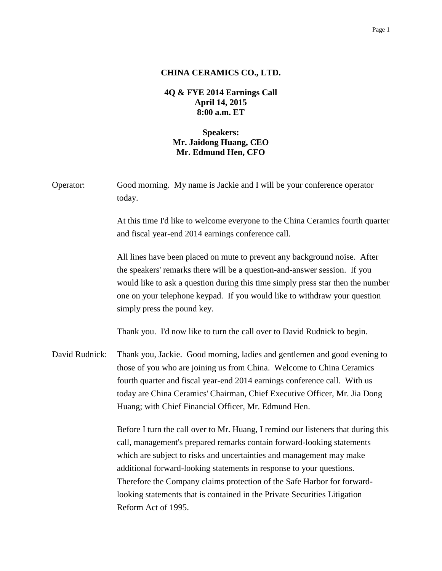## **CHINA CERAMICS CO., LTD.**

## **4Q & FYE 2014 Earnings Call April 14, 2015 8:00 a.m. ET**

## **Speakers: Mr. Jaidong Huang, CEO Mr. Edmund Hen, CFO**

| Operator:      | Good morning. My name is Jackie and I will be your conference operator<br>today.                                                                                                                                                                                                                                                                                                                                                                                                           |
|----------------|--------------------------------------------------------------------------------------------------------------------------------------------------------------------------------------------------------------------------------------------------------------------------------------------------------------------------------------------------------------------------------------------------------------------------------------------------------------------------------------------|
|                | At this time I'd like to welcome everyone to the China Ceramics fourth quarter<br>and fiscal year-end 2014 earnings conference call.                                                                                                                                                                                                                                                                                                                                                       |
|                | All lines have been placed on mute to prevent any background noise. After<br>the speakers' remarks there will be a question-and-answer session. If you<br>would like to ask a question during this time simply press star then the number<br>one on your telephone keypad. If you would like to withdraw your question<br>simply press the pound key.                                                                                                                                      |
|                | Thank you. I'd now like to turn the call over to David Rudnick to begin.                                                                                                                                                                                                                                                                                                                                                                                                                   |
| David Rudnick: | Thank you, Jackie. Good morning, ladies and gentlemen and good evening to<br>those of you who are joining us from China. Welcome to China Ceramics<br>fourth quarter and fiscal year-end 2014 earnings conference call. With us<br>today are China Ceramics' Chairman, Chief Executive Officer, Mr. Jia Dong<br>Huang; with Chief Financial Officer, Mr. Edmund Hen.                                                                                                                       |
|                | Before I turn the call over to Mr. Huang, I remind our listeners that during this<br>call, management's prepared remarks contain forward-looking statements<br>which are subject to risks and uncertainties and management may make<br>additional forward-looking statements in response to your questions.<br>Therefore the Company claims protection of the Safe Harbor for forward-<br>looking statements that is contained in the Private Securities Litigation<br>Reform Act of 1995. |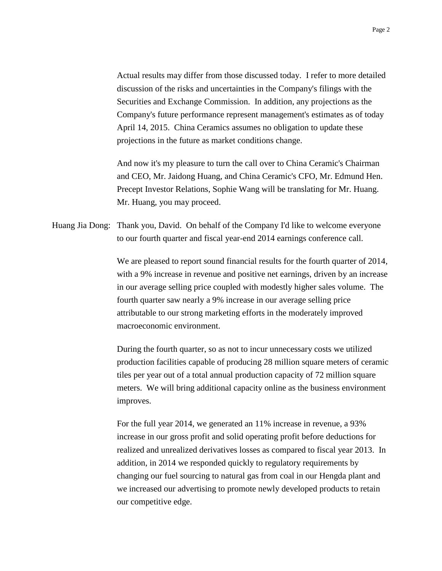Actual results may differ from those discussed today. I refer to more detailed discussion of the risks and uncertainties in the Company's filings with the Securities and Exchange Commission. In addition, any projections as the Company's future performance represent management's estimates as of today April 14, 2015. China Ceramics assumes no obligation to update these projections in the future as market conditions change.

And now it's my pleasure to turn the call over to China Ceramic's Chairman and CEO, Mr. Jaidong Huang, and China Ceramic's CFO, Mr. Edmund Hen. Precept Investor Relations, Sophie Wang will be translating for Mr. Huang. Mr. Huang, you may proceed.

Huang Jia Dong: Thank you, David. On behalf of the Company I'd like to welcome everyone to our fourth quarter and fiscal year-end 2014 earnings conference call.

> We are pleased to report sound financial results for the fourth quarter of 2014, with a 9% increase in revenue and positive net earnings, driven by an increase in our average selling price coupled with modestly higher sales volume. The fourth quarter saw nearly a 9% increase in our average selling price attributable to our strong marketing efforts in the moderately improved macroeconomic environment.

> During the fourth quarter, so as not to incur unnecessary costs we utilized production facilities capable of producing 28 million square meters of ceramic tiles per year out of a total annual production capacity of 72 million square meters. We will bring additional capacity online as the business environment improves.

> For the full year 2014, we generated an 11% increase in revenue, a 93% increase in our gross profit and solid operating profit before deductions for realized and unrealized derivatives losses as compared to fiscal year 2013. In addition, in 2014 we responded quickly to regulatory requirements by changing our fuel sourcing to natural gas from coal in our Hengda plant and we increased our advertising to promote newly developed products to retain our competitive edge.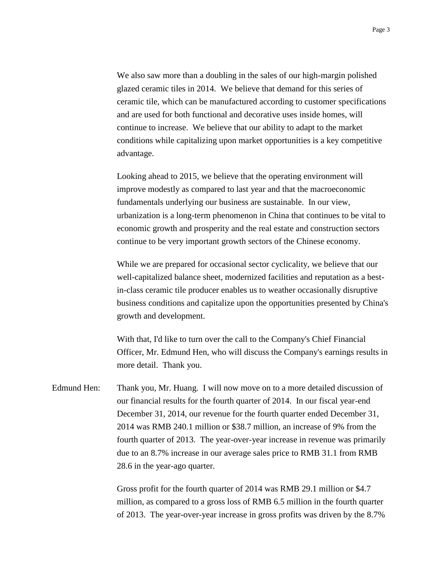We also saw more than a doubling in the sales of our high-margin polished glazed ceramic tiles in 2014. We believe that demand for this series of ceramic tile, which can be manufactured according to customer specifications and are used for both functional and decorative uses inside homes, will continue to increase. We believe that our ability to adapt to the market conditions while capitalizing upon market opportunities is a key competitive advantage.

Looking ahead to 2015, we believe that the operating environment will improve modestly as compared to last year and that the macroeconomic fundamentals underlying our business are sustainable. In our view, urbanization is a long-term phenomenon in China that continues to be vital to economic growth and prosperity and the real estate and construction sectors continue to be very important growth sectors of the Chinese economy.

While we are prepared for occasional sector cyclicality, we believe that our well-capitalized balance sheet, modernized facilities and reputation as a bestin-class ceramic tile producer enables us to weather occasionally disruptive business conditions and capitalize upon the opportunities presented by China's growth and development.

With that, I'd like to turn over the call to the Company's Chief Financial Officer, Mr. Edmund Hen, who will discuss the Company's earnings results in more detail. Thank you.

Edmund Hen: Thank you, Mr. Huang. I will now move on to a more detailed discussion of our financial results for the fourth quarter of 2014. In our fiscal year-end December 31, 2014, our revenue for the fourth quarter ended December 31, 2014 was RMB 240.1 million or \$38.7 million, an increase of 9% from the fourth quarter of 2013. The year-over-year increase in revenue was primarily due to an 8.7% increase in our average sales price to RMB 31.1 from RMB 28.6 in the year-ago quarter.

> Gross profit for the fourth quarter of 2014 was RMB 29.1 million or \$4.7 million, as compared to a gross loss of RMB 6.5 million in the fourth quarter of 2013. The year-over-year increase in gross profits was driven by the 8.7%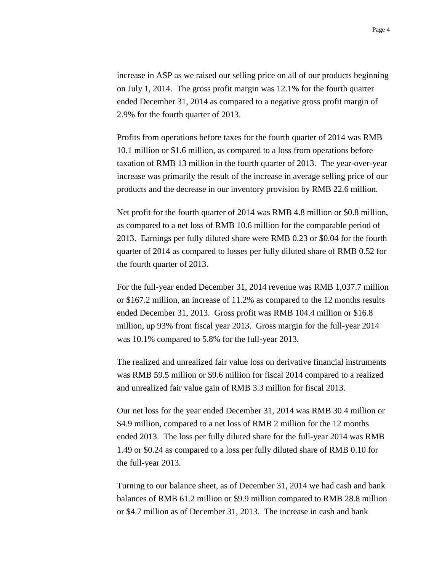increase in ASP as we raised our selling price on all of our products beginning on July 1, 2014. The gross profit margin was 12.1% for the fourth quarter ended December 31, 2014 as compared to a negative gross profit margin of 2.9% for the fourth quarter of 2013.

Profits from operations before taxes for the fourth quarter of 2014 was RMB 10.1 million or \$1.6 million, as compared to a loss from operations before taxation of RMB 13 million in the fourth quarter of 2013. The year-over-year increase was primarily the result of the increase in average selling price of our products and the decrease in our inventory provision by RMB 22.6 million.

Net profit for the fourth quarter of 2014 was RMB 4.8 million or \$0.8 million, as compared to a net loss of RMB 10.6 million for the comparable period of 2013. Earnings per fully diluted share were RMB 0.23 or \$0.04 for the fourth quarter of 2014 as compared to losses per fully diluted share of RMB 0.52 for the fourth quarter of 2013.

For the full-year ended December 31, 2014 revenue was RMB 1,037.7 million or \$167.2 million, an increase of 11.2% as compared to the 12 months results ended December 31, 2013. Gross profit was RMB 104.4 million or \$16.8 million, up 93% from fiscal year 2013. Gross margin for the full-year 2014 was 10.1% compared to 5.8% for the full-year 2013.

The realized and unrealized fair value loss on derivative financial instruments was RMB 59.5 million or \$9.6 million for fiscal 2014 compared to a realized and unrealized fair value gain of RMB 3.3 million for fiscal 2013.

Our net loss for the year ended December 31, 2014 was RMB 30.4 million or \$4.9 million, compared to a net loss of RMB 2 million for the 12 months ended 2013. The loss per fully diluted share for the full-year 2014 was RMB 1.49 or \$0.24 as compared to a loss per fully diluted share of RMB 0.10 for the full-year 2013.

Turning to our balance sheet, as of December 31, 2014 we had cash and bank balances of RMB 61.2 million or \$9.9 million compared to RMB 28.8 million or \$4.7 million as of December 31, 2013. The increase in cash and bank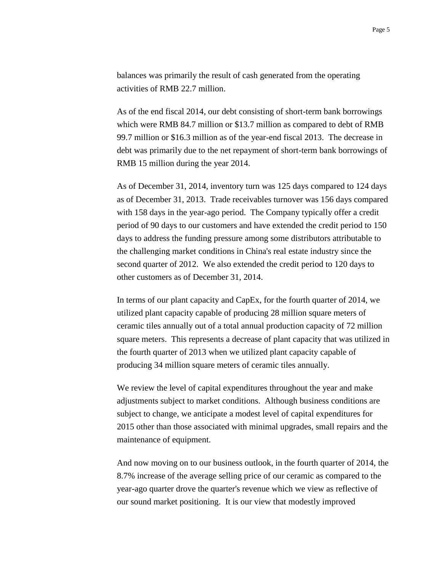balances was primarily the result of cash generated from the operating activities of RMB 22.7 million.

As of the end fiscal 2014, our debt consisting of short-term bank borrowings which were RMB 84.7 million or \$13.7 million as compared to debt of RMB 99.7 million or \$16.3 million as of the year-end fiscal 2013. The decrease in debt was primarily due to the net repayment of short-term bank borrowings of RMB 15 million during the year 2014.

As of December 31, 2014, inventory turn was 125 days compared to 124 days as of December 31, 2013. Trade receivables turnover was 156 days compared with 158 days in the year-ago period. The Company typically offer a credit period of 90 days to our customers and have extended the credit period to 150 days to address the funding pressure among some distributors attributable to the challenging market conditions in China's real estate industry since the second quarter of 2012. We also extended the credit period to 120 days to other customers as of December 31, 2014.

In terms of our plant capacity and CapEx, for the fourth quarter of 2014, we utilized plant capacity capable of producing 28 million square meters of ceramic tiles annually out of a total annual production capacity of 72 million square meters. This represents a decrease of plant capacity that was utilized in the fourth quarter of 2013 when we utilized plant capacity capable of producing 34 million square meters of ceramic tiles annually.

We review the level of capital expenditures throughout the year and make adjustments subject to market conditions. Although business conditions are subject to change, we anticipate a modest level of capital expenditures for 2015 other than those associated with minimal upgrades, small repairs and the maintenance of equipment.

And now moving on to our business outlook, in the fourth quarter of 2014, the 8.7% increase of the average selling price of our ceramic as compared to the year-ago quarter drove the quarter's revenue which we view as reflective of our sound market positioning. It is our view that modestly improved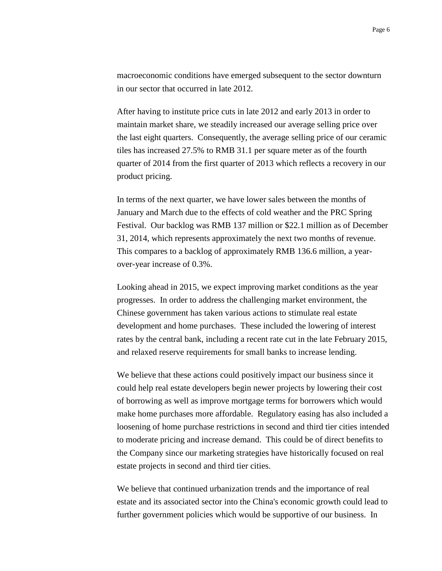macroeconomic conditions have emerged subsequent to the sector downturn in our sector that occurred in late 2012.

After having to institute price cuts in late 2012 and early 2013 in order to maintain market share, we steadily increased our average selling price over the last eight quarters. Consequently, the average selling price of our ceramic tiles has increased 27.5% to RMB 31.1 per square meter as of the fourth quarter of 2014 from the first quarter of 2013 which reflects a recovery in our product pricing.

In terms of the next quarter, we have lower sales between the months of January and March due to the effects of cold weather and the PRC Spring Festival. Our backlog was RMB 137 million or \$22.1 million as of December 31, 2014, which represents approximately the next two months of revenue. This compares to a backlog of approximately RMB 136.6 million, a yearover-year increase of 0.3%.

Looking ahead in 2015, we expect improving market conditions as the year progresses. In order to address the challenging market environment, the Chinese government has taken various actions to stimulate real estate development and home purchases. These included the lowering of interest rates by the central bank, including a recent rate cut in the late February 2015, and relaxed reserve requirements for small banks to increase lending.

We believe that these actions could positively impact our business since it could help real estate developers begin newer projects by lowering their cost of borrowing as well as improve mortgage terms for borrowers which would make home purchases more affordable. Regulatory easing has also included a loosening of home purchase restrictions in second and third tier cities intended to moderate pricing and increase demand. This could be of direct benefits to the Company since our marketing strategies have historically focused on real estate projects in second and third tier cities.

We believe that continued urbanization trends and the importance of real estate and its associated sector into the China's economic growth could lead to further government policies which would be supportive of our business. In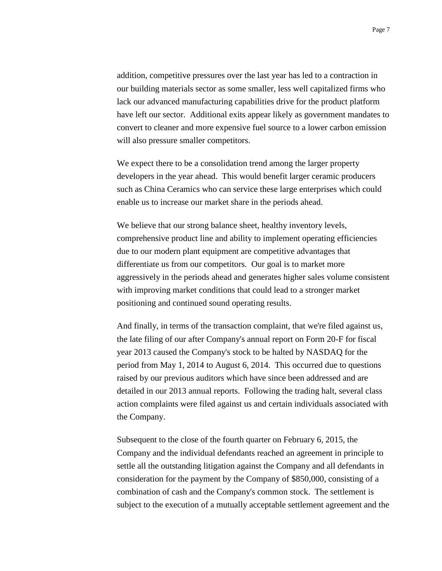addition, competitive pressures over the last year has led to a contraction in our building materials sector as some smaller, less well capitalized firms who lack our advanced manufacturing capabilities drive for the product platform have left our sector. Additional exits appear likely as government mandates to convert to cleaner and more expensive fuel source to a lower carbon emission will also pressure smaller competitors.

We expect there to be a consolidation trend among the larger property developers in the year ahead. This would benefit larger ceramic producers such as China Ceramics who can service these large enterprises which could enable us to increase our market share in the periods ahead.

We believe that our strong balance sheet, healthy inventory levels, comprehensive product line and ability to implement operating efficiencies due to our modern plant equipment are competitive advantages that differentiate us from our competitors. Our goal is to market more aggressively in the periods ahead and generates higher sales volume consistent with improving market conditions that could lead to a stronger market positioning and continued sound operating results.

And finally, in terms of the transaction complaint, that we're filed against us, the late filing of our after Company's annual report on Form 20-F for fiscal year 2013 caused the Company's stock to be halted by NASDAQ for the period from May 1, 2014 to August 6, 2014. This occurred due to questions raised by our previous auditors which have since been addressed and are detailed in our 2013 annual reports. Following the trading halt, several class action complaints were filed against us and certain individuals associated with the Company.

Subsequent to the close of the fourth quarter on February 6, 2015, the Company and the individual defendants reached an agreement in principle to settle all the outstanding litigation against the Company and all defendants in consideration for the payment by the Company of \$850,000, consisting of a combination of cash and the Company's common stock. The settlement is subject to the execution of a mutually acceptable settlement agreement and the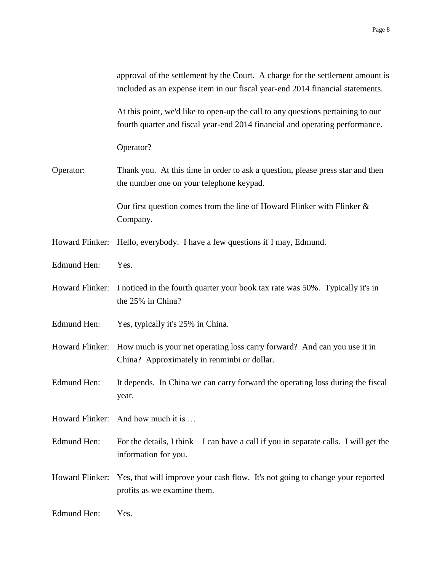|                    | approval of the settlement by the Court. A charge for the settlement amount is<br>included as an expense item in our fiscal year-end 2014 financial statements. |
|--------------------|-----------------------------------------------------------------------------------------------------------------------------------------------------------------|
|                    | At this point, we'd like to open-up the call to any questions pertaining to our<br>fourth quarter and fiscal year-end 2014 financial and operating performance. |
|                    | Operator?                                                                                                                                                       |
| Operator:          | Thank you. At this time in order to ask a question, please press star and then<br>the number one on your telephone keypad.                                      |
|                    | Our first question comes from the line of Howard Flinker with Flinker $\&$<br>Company.                                                                          |
| Howard Flinker:    | Hello, everybody. I have a few questions if I may, Edmund.                                                                                                      |
| Edmund Hen:        | Yes.                                                                                                                                                            |
| Howard Flinker:    | I noticed in the fourth quarter your book tax rate was 50%. Typically it's in<br>the 25% in China?                                                              |
| <b>Edmund Hen:</b> | Yes, typically it's 25% in China.                                                                                                                               |
|                    | Howard Flinker: How much is your net operating loss carry forward? And can you use it in<br>China? Approximately in renminbi or dollar.                         |
| Edmund Hen:        | It depends. In China we can carry forward the operating loss during the fiscal<br>year.                                                                         |
|                    | Howard Flinker: And how much it is                                                                                                                              |
| Edmund Hen:        | For the details, I think – I can have a call if you in separate calls. I will get the<br>information for you.                                                   |
| Howard Flinker:    | Yes, that will improve your cash flow. It's not going to change your reported<br>profits as we examine them.                                                    |
| Edmund Hen:        | Yes.                                                                                                                                                            |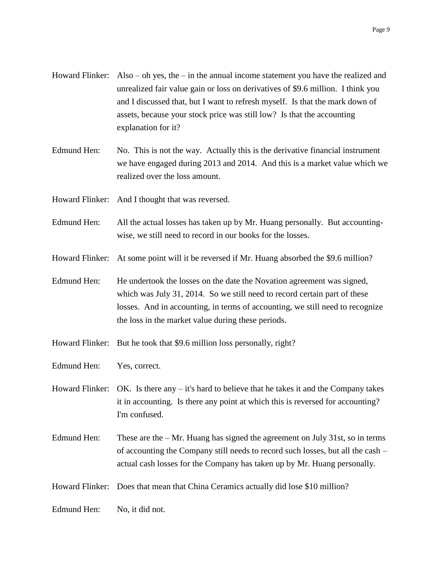- Howard Flinker: Also oh yes, the in the annual income statement you have the realized and unrealized fair value gain or loss on derivatives of \$9.6 million. I think you and I discussed that, but I want to refresh myself. Is that the mark down of assets, because your stock price was still low? Is that the accounting explanation for it?
- Edmund Hen: No. This is not the way. Actually this is the derivative financial instrument we have engaged during 2013 and 2014. And this is a market value which we realized over the loss amount.

Howard Flinker: And I thought that was reversed.

- Edmund Hen: All the actual losses has taken up by Mr. Huang personally. But accountingwise, we still need to record in our books for the losses.
- Howard Flinker: At some point will it be reversed if Mr. Huang absorbed the \$9.6 million?

Edmund Hen: He undertook the losses on the date the Novation agreement was signed, which was July 31, 2014. So we still need to record certain part of these losses. And in accounting, in terms of accounting, we still need to recognize the loss in the market value during these periods.

- Howard Flinker: But he took that \$9.6 million loss personally, right?
- Edmund Hen: Yes, correct.
- Howard Flinker: OK. Is there any  $-$  it's hard to believe that he takes it and the Company takes it in accounting. Is there any point at which this is reversed for accounting? I'm confused.
- Edmund Hen: These are the  $-Mr$ . Huang has signed the agreement on July 31st, so in terms of accounting the Company still needs to record such losses, but all the cash – actual cash losses for the Company has taken up by Mr. Huang personally.
- Howard Flinker: Does that mean that China Ceramics actually did lose \$10 million?
- Edmund Hen: No, it did not.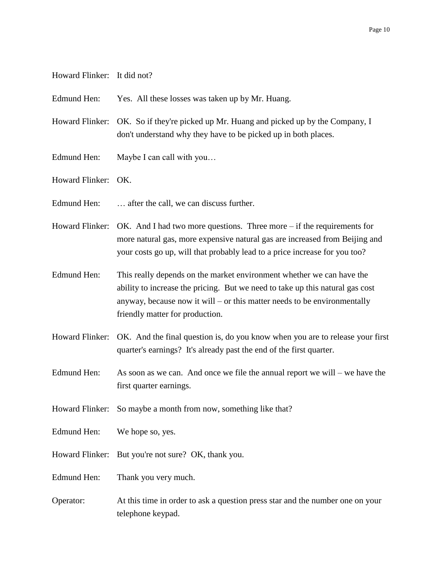- Howard Flinker: It did not?
- Edmund Hen: Yes. All these losses was taken up by Mr. Huang.
- Howard Flinker: OK. So if they're picked up Mr. Huang and picked up by the Company, I don't understand why they have to be picked up in both places.
- Edmund Hen: Maybe I can call with you...
- Howard Flinker: OK.
- Edmund Hen: ... after the call, we can discuss further.
- Howard Flinker: OK. And I had two more questions. Three more if the requirements for more natural gas, more expensive natural gas are increased from Beijing and your costs go up, will that probably lead to a price increase for you too?
- Edmund Hen: This really depends on the market environment whether we can have the ability to increase the pricing. But we need to take up this natural gas cost anyway, because now it will – or this matter needs to be environmentally friendly matter for production.
- Howard Flinker: OK. And the final question is, do you know when you are to release your first quarter's earnings? It's already past the end of the first quarter.
- Edmund Hen: As soon as we can. And once we file the annual report we will we have the first quarter earnings.
- Howard Flinker: So maybe a month from now, something like that?
- Edmund Hen: We hope so, yes.
- Howard Flinker: But you're not sure? OK, thank you.
- Edmund Hen: Thank you very much.
- Operator: At this time in order to ask a question press star and the number one on your telephone keypad.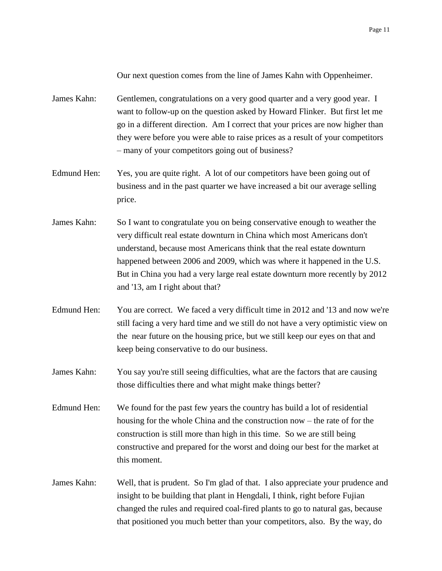Our next question comes from the line of James Kahn with Oppenheimer.

James Kahn: Gentlemen, congratulations on a very good quarter and a very good year. I want to follow-up on the question asked by Howard Flinker. But first let me go in a different direction. Am I correct that your prices are now higher than they were before you were able to raise prices as a result of your competitors – many of your competitors going out of business?

- Edmund Hen: Yes, you are quite right. A lot of our competitors have been going out of business and in the past quarter we have increased a bit our average selling price.
- James Kahn: So I want to congratulate you on being conservative enough to weather the very difficult real estate downturn in China which most Americans don't understand, because most Americans think that the real estate downturn happened between 2006 and 2009, which was where it happened in the U.S. But in China you had a very large real estate downturn more recently by 2012 and '13, am I right about that?
- Edmund Hen: You are correct. We faced a very difficult time in 2012 and '13 and now we're still facing a very hard time and we still do not have a very optimistic view on the near future on the housing price, but we still keep our eyes on that and keep being conservative to do our business.
- James Kahn: You say you're still seeing difficulties, what are the factors that are causing those difficulties there and what might make things better?
- Edmund Hen: We found for the past few years the country has build a lot of residential housing for the whole China and the construction now – the rate of for the construction is still more than high in this time. So we are still being constructive and prepared for the worst and doing our best for the market at this moment.
- James Kahn: Well, that is prudent. So I'm glad of that. I also appreciate your prudence and insight to be building that plant in Hengdali, I think, right before Fujian changed the rules and required coal-fired plants to go to natural gas, because that positioned you much better than your competitors, also. By the way, do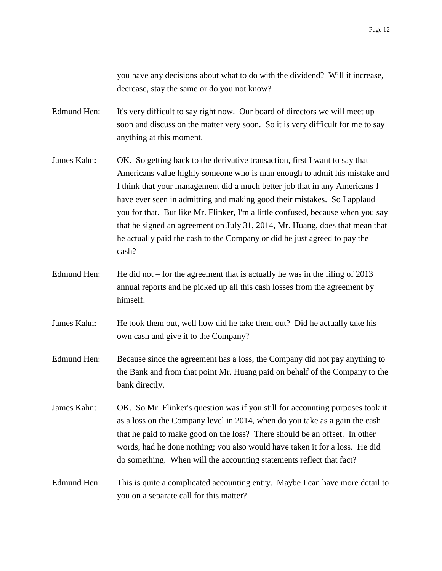you have any decisions about what to do with the dividend? Will it increase, decrease, stay the same or do you not know?

Edmund Hen: It's very difficult to say right now. Our board of directors we will meet up soon and discuss on the matter very soon. So it is very difficult for me to say anything at this moment.

- James Kahn: OK. So getting back to the derivative transaction, first I want to say that Americans value highly someone who is man enough to admit his mistake and I think that your management did a much better job that in any Americans I have ever seen in admitting and making good their mistakes. So I applaud you for that. But like Mr. Flinker, I'm a little confused, because when you say that he signed an agreement on July 31, 2014, Mr. Huang, does that mean that he actually paid the cash to the Company or did he just agreed to pay the cash?
- Edmund Hen: He did not for the agreement that is actually he was in the filing of  $2013$ annual reports and he picked up all this cash losses from the agreement by himself.
- James Kahn: He took them out, well how did he take them out? Did he actually take his own cash and give it to the Company?
- Edmund Hen: Because since the agreement has a loss, the Company did not pay anything to the Bank and from that point Mr. Huang paid on behalf of the Company to the bank directly.

James Kahn: OK. So Mr. Flinker's question was if you still for accounting purposes took it as a loss on the Company level in 2014, when do you take as a gain the cash that he paid to make good on the loss? There should be an offset. In other words, had he done nothing; you also would have taken it for a loss. He did do something. When will the accounting statements reflect that fact?

Edmund Hen: This is quite a complicated accounting entry. Maybe I can have more detail to you on a separate call for this matter?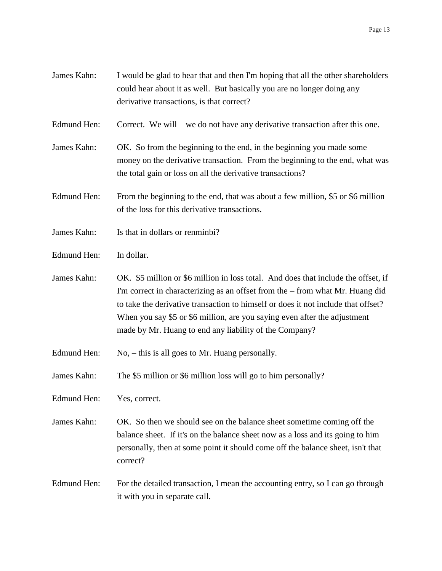- James Kahn: I would be glad to hear that and then I'm hoping that all the other shareholders could hear about it as well. But basically you are no longer doing any derivative transactions, is that correct?
- Edmund Hen: Correct. We will we do not have any derivative transaction after this one.
- James Kahn: OK. So from the beginning to the end, in the beginning you made some money on the derivative transaction. From the beginning to the end, what was the total gain or loss on all the derivative transactions?
- Edmund Hen: From the beginning to the end, that was about a few million, \$5 or \$6 million of the loss for this derivative transactions.
- James Kahn: Is that in dollars or renminbi?
- Edmund Hen: In dollar.
- James Kahn: OK. \$5 million or \$6 million in loss total. And does that include the offset, if I'm correct in characterizing as an offset from the – from what Mr. Huang did to take the derivative transaction to himself or does it not include that offset? When you say \$5 or \$6 million, are you saying even after the adjustment made by Mr. Huang to end any liability of the Company?
- Edmund Hen: No, this is all goes to Mr. Huang personally.
- James Kahn: The \$5 million or \$6 million loss will go to him personally?
- Edmund Hen: Yes, correct.
- James Kahn: OK. So then we should see on the balance sheet sometime coming off the balance sheet. If it's on the balance sheet now as a loss and its going to him personally, then at some point it should come off the balance sheet, isn't that correct?
- Edmund Hen: For the detailed transaction, I mean the accounting entry, so I can go through it with you in separate call.